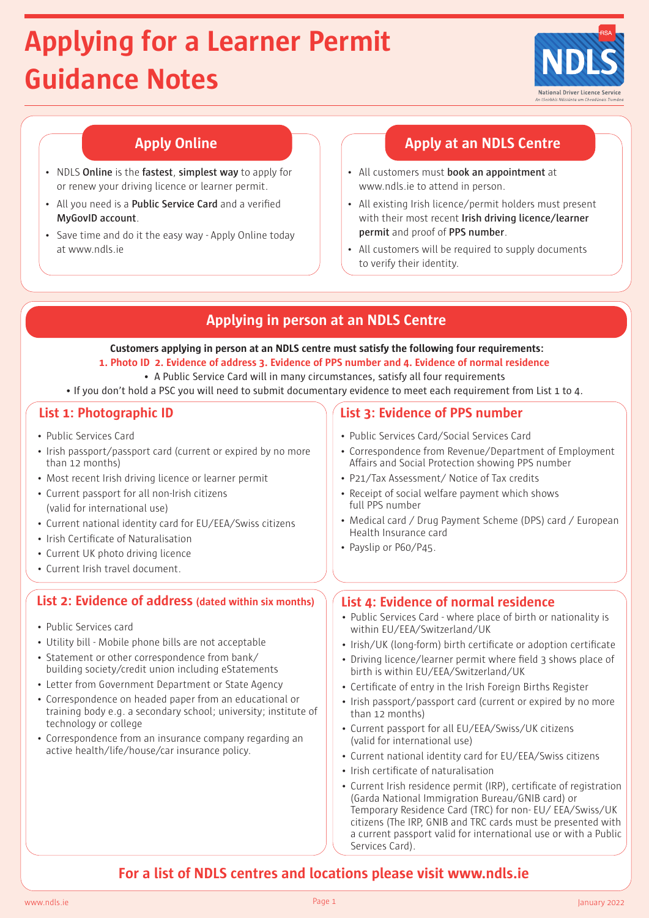# **Applying for a Learner Permit Guidance Notes**



- NDLS **Online** is the **fastest**, **simplest way** to apply for or renew your driving licence or learner permit.
- All you need is a **Public Service Card** and a verified **MyGovID account**.
- Save time and do it the easy way Apply Online today at www.ndls.ie

# **Apply Online Apply at an NDLS Centre**

- All customers must **book an appointment** at www.ndls.ie to attend in person.
- All existing Irish licence/permit holders must present with their most recent **Irish driving licence/learner permit** and proof of **PPS number**.
- All customers will be required to supply documents to verify their identity.

# **Applying in person at an NDLS Centre**

 **Customers applying in person at an NDLS centre must satisfy the following four requirements:**

- **1. Photo ID 2. Evidence of address 3. Evidence of PPS number and 4. Evidence of normal residence**
- A Public Service Card will in many circumstances, satisfy all four requirements
- If you don't hold a PSC you will need to submit documentary evidence to meet each requirement from List 1 to 4.

- Public Services Card
- Irish passport/passport card (current or expired by no more than 12 months)
- Most recent Irish driving licence or learner permit
- Current passport for all non-Irish citizens (valid for international use)
- Current national identity card for EU/EEA/Swiss citizens
- Irish Certificate of Naturalisation
- Current UK photo driving licence
- Current Irish travel document.

# **List 2: Evidence of address (dated within six months) List 4: Evidence of normal residence**

- Public Services card
- Utility bill Mobile phone bills are not acceptable
- Statement or other correspondence from bank/ building society/credit union including eStatements
- Letter from Government Department or State Agency
- Correspondence on headed paper from an educational or training body e.g. a secondary school; university; institute of technology or college
- Correspondence from an insurance company regarding an active health/life/house/car insurance policy.

# **List 1: Photographic ID List 3: Evidence of PPS number**

- Public Services Card/Social Services Card
- Correspondence from Revenue/Department of Employment Affairs and Social Protection showing PPS number
- P21/Tax Assessment/ Notice of Tax credits
- Receipt of social welfare payment which shows full PPS number
- Medical card / Drug Payment Scheme (DPS) card / European Health Insurance card
- Payslip or P60/P45.

- Public Services Card where place of birth or nationality is within EU/EEA/Switzerland/UK
- Irish/UK (long-form) birth certificate or adoption certificate
- Driving licence/learner permit where field 3 shows place of birth is within EU/EEA/Switzerland/UK
- Certificate of entry in the Irish Foreign Births Register
- Irish passport/passport card (current or expired by no more than 12 months)
- Current passport for all EU/EEA/Swiss/UK citizens (valid for international use)
- Current national identity card for EU/EEA/Swiss citizens
- Irish certificate of naturalisation
- Current Irish residence permit (IRP), certificate of registration (Garda National Immigration Bureau/GNIB card) or Temporary Residence Card (TRC) for non- EU/ EEA/Swiss/UK citizens (The IRP, GNIB and TRC cards must be presented with a current passport valid for international use or with a Public Services Card).

# **For a list of NDLS centres and locations please visit www.ndls.ie**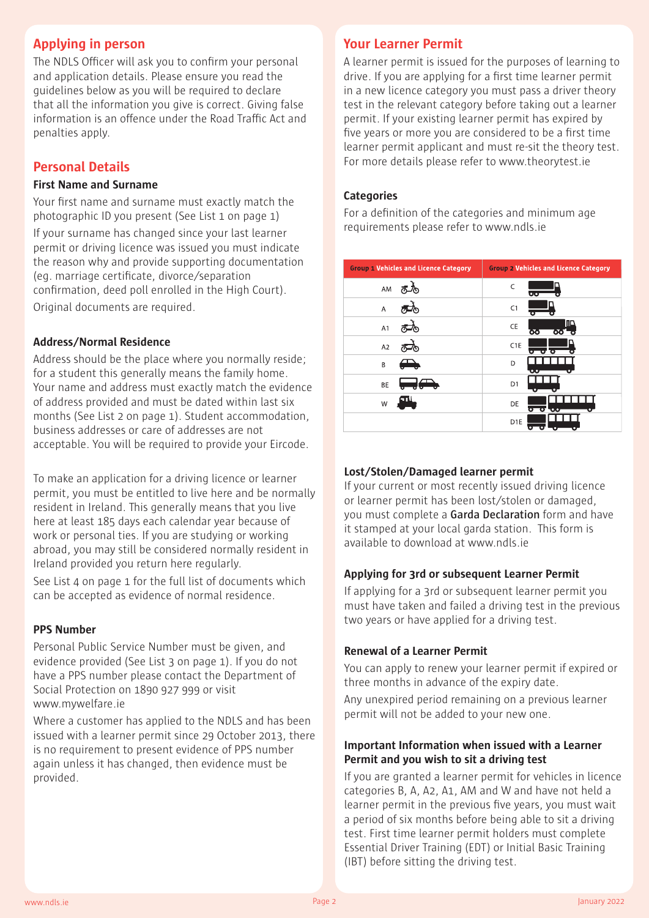# **Applying in person**

The NDLS Officer will ask you to confirm your personal and application details. Please ensure you read the guidelines below as you will be required to declare that all the information you give is correct. Giving false information is an offence under the Road Traffic Act and penalties apply.

# **Personal Details**

# **First Name and Surname**

Your first name and surname must exactly match the photographic ID you present (See List 1 on page 1) If your surname has changed since your last learner permit or driving licence was issued you must indicate the reason why and provide supporting documentation (eg. marriage certificate, divorce/separation confirmation, deed poll enrolled in the High Court). Original documents are required.

# **Address/Normal Residence**

Address should be the place where you normally reside; for a student this generally means the family home. Your name and address must exactly match the evidence of address provided and must be dated within last six months (See List 2 on page 1). Student accommodation, business addresses or care of addresses are not acceptable. You will be required to provide your Eircode.

To make an application for a driving licence or learner permit, you must be entitled to live here and be normally resident in Ireland. This generally means that you live here at least 185 days each calendar year because of work or personal ties. If you are studying or working abroad, you may still be considered normally resident in Ireland provided you return here regularly.

See List 4 on page 1 for the full list of documents which can be accepted as evidence of normal residence.

# **PPS Number**

Personal Public Service Number must be given, and evidence provided (See List 3 on page 1). If you do not have a PPS number please contact the Department of Social Protection on 1890 927 999 or visit www.mywelfare.ie

Where a customer has applied to the NDLS and has been issued with a learner permit since 29 October 2013, there is no requirement to present evidence of PPS number again unless it has changed, then evidence must be provided.

# **Your Learner Permit**

A learner permit is issued for the purposes of learning to drive. If you are applying for a first time learner permit in a new licence category you must pass a driver theory test in the relevant category before taking out a learner permit. If your existing learner permit has expired by five years or more you are considered to be a first time learner permit applicant and must re-sit the theory test. For more details please refer to www.theorytest.ie

## **Categories**

For a definition of the categories and minimum age requirements please refer to www.ndls.ie

| <b>Group 1 Vehicles and Licence Category</b> | <b>Group 2 Vehicles and Licence Category</b> |  |  |
|----------------------------------------------|----------------------------------------------|--|--|
| AM                                           | C<br>ಀಀ                                      |  |  |
| A                                            | C1                                           |  |  |
| A1                                           | םחו<br>CE<br>ਲ<br>ਨਨ                         |  |  |
| A <sub>2</sub>                               | C1E<br>o Lo<br>π                             |  |  |
| B                                            | D<br>$\bullet$ . $\bullet$                   |  |  |
| BE                                           | D <sub>1</sub>                               |  |  |
| W                                            | DE<br>σ<br>$\bullet$ $\bullet$               |  |  |
|                                              | D <sub>1</sub> E                             |  |  |

### **Lost/Stolen/Damaged learner permit**

If your current or most recently issued driving licence or learner permit has been lost/stolen or damaged, you must complete a **Garda Declaration** form and have it stamped at your local garda station. This form is available to download at www.ndls.ie

# **Applying for 3rd or subsequent Learner Permit**

If applying for a 3rd or subsequent learner permit you must have taken and failed a driving test in the previous two years or have applied for a driving test.

# **Renewal of a Learner Permit**

You can apply to renew your learner permit if expired or three months in advance of the expiry date.

Any unexpired period remaining on a previous learner permit will not be added to your new one.

# **Important Information when issued with a Learner Permit and you wish to sit a driving test**

If you are granted a learner permit for vehicles in licence categories B, A, A2, A1, AM and W and have not held a learner permit in the previous five years, you must wait a period of six months before being able to sit a driving test. First time learner permit holders must complete Essential Driver Training (EDT) or Initial Basic Training (IBT) before sitting the driving test.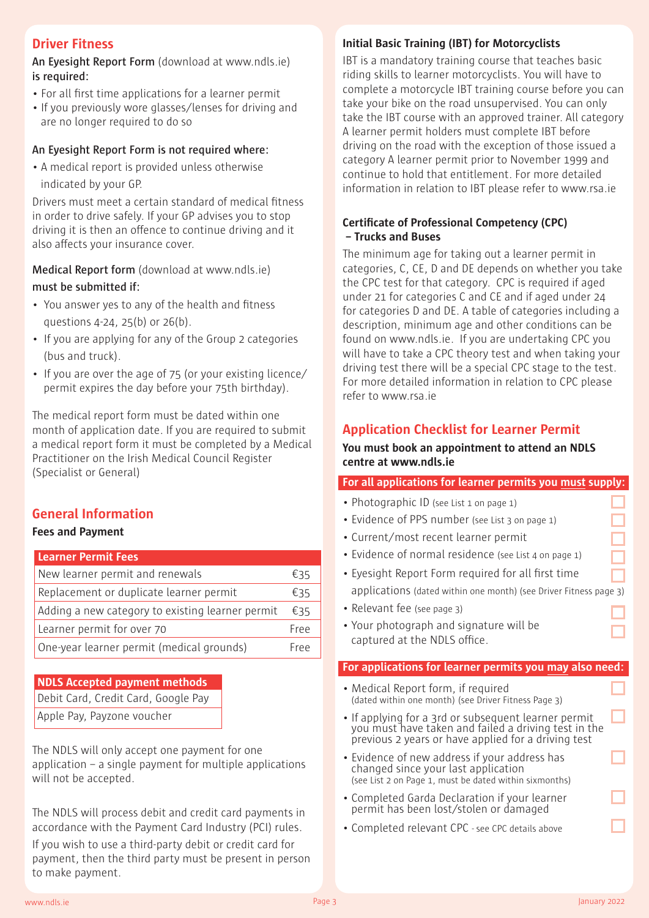# **Driver Fitness**

**An Eyesight Report Form** (download at www.ndls.ie) **is required:**

- For all first time applications for a learner permit
- If you previously wore glasses/lenses for driving and are no longer required to do so

## **An Eyesight Report Form is not required where:**

• A medical report is provided unless otherwise indicated by your GP.

Drivers must meet a certain standard of medical fitness in order to drive safely. If your GP advises you to stop driving it is then an offence to continue driving and it also affects your insurance cover.

**Medical Report form** (download at www.ndls.ie) **must be submitted if:**

- You answer yes to any of the health and fitness questions 4-24, 25(b) or 26(b).
- If you are applying for any of the Group 2 categories (bus and truck).
- If you are over the age of 75 (or your existing licence/ permit expires the day before your 75th birthday).

The medical report form must be dated within one month of application date. If you are required to submit a medical report form it must be completed by a Medical Practitioner on the Irish Medical Council Register (Specialist or General)

# **General Information**

### **Fees and Payment**

### **Learner Permit Fees**

| New learner permit and renewals                  |      |  |
|--------------------------------------------------|------|--|
| Replacement or duplicate learner permit          |      |  |
| Adding a new category to existing learner permit |      |  |
| Learner permit for over 70                       |      |  |
| One-year learner permit (medical grounds)        | Free |  |

#### **NDLS Accepted payment methods**

|  | Debit Card, Credit Card, Google Pay |
|--|-------------------------------------|
|  |                                     |

Apple Pay, Payzone voucher

The NDLS will only accept one payment for one application – a single payment for multiple applications will not be accepted.

The NDLS will process debit and credit card payments in accordance with the Payment Card Industry (PCI) rules. If you wish to use a third-party debit or credit card for payment, then the third party must be present in person to make payment.

# **Initial Basic Training (IBT) for Motorcyclists**

IBT is a mandatory training course that teaches basic riding skills to learner motorcyclists. You will have to complete a motorcycle IBT training course before you can take your bike on the road unsupervised. You can only take the IBT course with an approved trainer. All category A learner permit holders must complete IBT before driving on the road with the exception of those issued a category A learner permit prior to November 1999 and continue to hold that entitlement. For more detailed information in relation to IBT please refer to www.rsa.ie

# **Certificate of Professional Competency (CPC) – Trucks and Buses**

The minimum age for taking out a learner permit in categories, C, CE, D and DE depends on whether you take the CPC test for that category. CPC is required if aged under 21 for categories C and CE and if aged under 24 for categories D and DE. A table of categories including a description, minimum age and other conditions can be found on www.ndls.ie. If you are undertaking CPC you will have to take a CPC theory test and when taking your driving test there will be a special CPC stage to the test. For more detailed information in relation to CPC please refer to www.rsa.ie

# **Application Checklist for Learner Permit**

### **You must book an appointment to attend an NDLS centre at www.ndls.ie**

# **For all applications for learner permits you must supply:**

- Photographic ID (see List 1 on page 1)
- Evidence of PPS number (see List 3 on page 1)
- Current/most recent learner permit
- Evidence of normal residence (see List 4 on page 1)
- Eyesight Report Form required for all first time applications (dated within one month) (see Driver Fitness page 3)
- Relevant fee (see page 3)
- Your photograph and signature will be captured at the NDLS office.

#### **For applications for learner permits you may also need:**

- Medical Report form, if required (dated within one month) (see Driver Fitness Page 3)
- If applying for a 3rd or subsequent learner permit you must have taken and failed a driving test in the previous 2 years or have applied for a driving test
- Evidence of new address if your address has changed since your last application (see List 2 on Page 1, must be dated within sixmonths)
- Completed Garda Declaration if your learner permit has been lost/stolen or damaged
- Completed relevant CPC see CPC details above